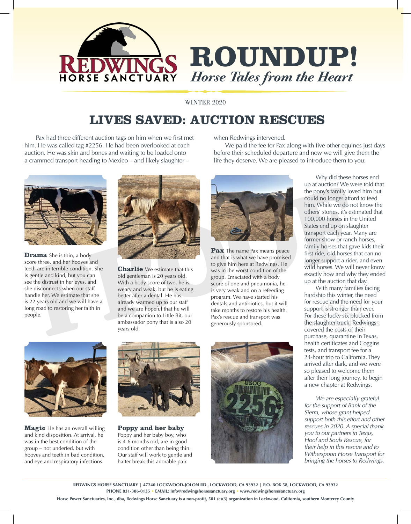

WINTER 2020

## **LIVES SAVED: AUCTION RESCUES**

Pax had three different auction tags on him when we first met him. He was called tag #2256. He had been overlooked at each auction. He was skin and bones and waiting to be loaded onto a crammed transport heading to Mexico – and likely slaughter –



**Drama** She is thin, a body score three, and her hooves and teeth are in terrible condition. She is gentle and kind, but you can see the distrust in her eyes, and she disconnects when our staff handle her. We estimate that she is 22 years old and we will have a long road to restoring her faith in people.



**Charlie** We estimate that this old gentleman is 20 years old. With a body score of two, he is weary and weak, but he is eating better after a dental. He has already warmed up to our staff and we are hopeful that he will be a companion to Little Bit, our ambassador pony that is also 20 years old.

when Redwings intervened.

We paid the fee for Pax along with five other equines just days before their scheduled departure and now we will give them the life they deserve. We are pleased to introduce them to you:



**Pax** The name Pax means peace and that is what we have promised to give him here at Redwings. He was in the worst condition of the group. Emaciated with a body score of one and pneumonia, he is very weak and on a refeeding program. We have started his dentals and antibiotics, but it will take months to restore his health. Pax's rescue and transport was generously sponsored.

**Magic** He has an overall willing and kind disposition. At arrival, he was in the best condition of the group – not underfed, but with hooves and teeth in bad condition, and eye and respiratory infections.



**Poppy and her baby**  Poppy and her baby boy, who is 4-6 months old, are in good condition other than being thin. Our staff will work to gentle and halter break this adorable pair.



Why did these horses end up at auction? We were told that the pony's family loved him but could no longer afford to feed him. While we do not know the others' stories, it's estimated that 100,000 horses in the United States end up on slaughter transport each year. Many are former show or ranch horses, family horses that gave kids their first ride, old horses that can no longer support a rider, and even wild horses. We will never know exactly how and why they ended up at the auction that day.

With many families facing hardship this winter, the need for rescue and the need for your support is stronger than ever. For these lucky six plucked from the slaughter truck, Redwings covered the costs of their purchase, quarantine in Texas, health certificates and Coggins tests, and transport fee for a 24-hour trip to California. They arrived after dark, and we were so pleased to welcome them after their long journey, to begin a new chapter at Redwings.

*We are especially grateful for the support of Bank of the Sierra, whose grant helped support both this effort and other rescues in 2020. A special thank you to our partners in Texas, Hoof and Souls Rescue, for their help in this rescue and to Witherspoon Horse Transport for bringing the horses to Redwings*.

**REDWINGS HORSE SANCTUARY | 47240 LOCKWOOD-JOLON RD., LOCKWOOD, CA 93932 | P.O. BOX 58, LOCKWOOD, CA 93932 PHONE 831-386-0135 • EMAIL: Info@redwingshorsesanctuary.org • www.redwingshorsesanctuary.org**

**Horse Power Sanctuaries, Inc., dba, Redwings Horse Sanctuary is a non-profit, 501 (c)(3) organization in Lockwood, California, southern Monterey County**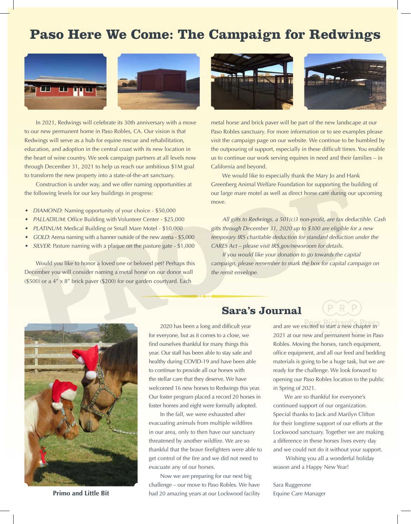# **Paso Here We Come: The Campaign for Redwings**





In 2021, Redwings will celebrate its 30th anniversary with a move to our new permanent home in Paso Robles, CA. Our vision is that Redwings will serve as a hub for equine rescue and rehabilitation, education, and adoption in the central coast with its new location in the heart of wine country. We seek campaign partners at all levels now through December 31, 2021 to help us reach our ambitious \$1M goal to transform the new property into a state-of-the-art sanctuary.

Construction is under way, and we offer naming opportunities at the following levels for our key buildings in progress:

- *• DIAMOND*: Naming opportunity of your choice \$50,000
- *• PALLADIUM*: Office Building with Volunteer Center \$25,000
- *• PLATINUM*: Medical Building or Small Mare Motel \$10,000
- *• GOLD*: Arena naming with a banner outside of the new arena \$5,000
- *• SILVER*: Pasture naming with a plaque on the pasture gate \$1,000

Would you like to honor a loved one or beloved pet? Perhaps this December you will consider naming a metal horse on our donor wall (\$500) or a 4" x 8" brick paver (\$200) for our garden courtyard. Each





metal horse and brick paver will be part of the new landscape at our Paso Robles sanctuary. For more information or to see examples please visit the campaign page on our website. We continue to be humbled by the outpouring of support, especially in these difficult times. You enable us to continue our work serving equines in need and their families – in California and beyond.

We would like to especially thank the Mary Jo and Hank Greenberg Animal Welfare Foundation for supporting the building of our large mare motel as well as direct horse care during our upcoming move.

*All gifts to Redwings, a 501(c)3 non-profit, are tax deductible. Cash gifts through December 31, 2020 up to \$300 are eligible for a new temporary IRS charitable deduction for standard deduction under the CARES Act – please visit IRS.gov/newsroom for details.*

*If you would like your donation to go towards the capital campaign, please remember to mark the box for capital campaign on the remit envelope.*



**Primo and Little Bit**

### **Sara's Journal**

2020 has been a long and difficult year for everyone, but as it comes to a close, we find ourselves thankful for many things this year. Our staff has been able to stay safe and healthy during COVID-19 and have been able to continue to provide all our horses with the stellar care that they deserve. We have welcomed 16 new horses to Redwings this year. Our foster program placed a record 20 horses in foster homes and eight were formally adopted.

In the fall, we were exhausted after evacuating animals from multiple wildfires in our area, only to then have our sanctuary threatened by another wildfire. We are so thankful that the brave firefighters were able to get control of the fire and we did not need to evacuate any of our horses.

Now we are preparing for our next big challenge – our move to Paso Robles. We have had 20 amazing years at our Lockwood facility and are we excited to start a new chapter in 2021 at our new and permanent home in Paso Robles. Moving the horses, ranch equipment, office equipment, and all our feed and bedding materials is going to be a huge task, but we are ready for the challenge. We look forward to opening our Paso Robles location to the public in Spring of 2021.

We are so thankful for everyone's continued support of our organization. Special thanks to Jack and Marilyn Clifton for their longtime support of our efforts at the Lockwood sanctuary. Together we are making a difference in these horses lives every day and we could not do it without your support.

 Wishing you all a wonderful holiday season and a Happy New Year!

Sara Ruggerone Equine Care Manager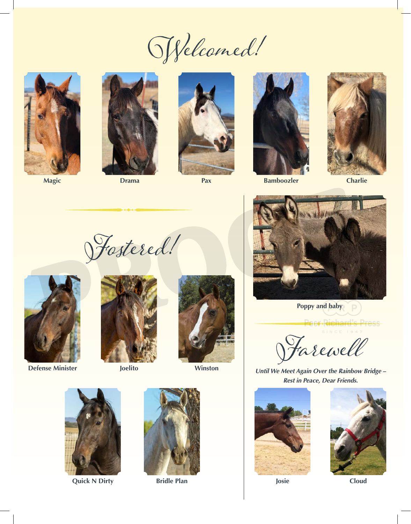Welcomed!



**Magic Drama Pax**







**Bamboozler**



**Charlie**

Fostered!



**Defense Minister**





**Joelito Winston**



**Quick N Dirty**



**Bridle Plan Josie Cloud** 



**Poppy and baby**

Farewell

*Until We Meet Again Over the Rainbow Bridge – Rest in Peace, Dear Friends.*